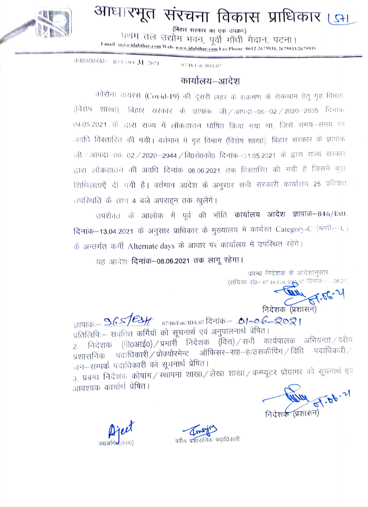

## आधारभूत संरचना विकास प्राधिकार <u>(अ</u>

(बिहार सरकार का एक उपक्रम) प्रथम तल उद्योग भवन, पूर्वी गाँधी मैदान, पटना। Email and g idabihar.com Web- www.idabihar.com Fax/Phone: 0612-2675934, 2675933/2675935

ФЮЗНОГО- 10А.ОО/31/2021

07/16 LStt./IDA/07

## कार्यालय–आदेश

कोरोना वायरस (Covid-19) की दूसरी लहर के संक्रमण के रोकथाम हेतु गृह विभाग (विशेष शाखा), बिहार सरकार के ज्ञापांक जी/आपदा-06--02/2020--2835 दिनांक 04.05.2021 के द्वारा राज्य में लॉकडाउन घोषित किया गया था, जिसे समय-समय पर अवधि विस्तारित की गयी। वर्त्तमान में गृह विभाग (विशेष शाखा), बिहार सरकार के ज्ञापांक जी / आपदा-06-02 / 2020-2944 / वि0से0को0 दिनांक-31.05.2021 के द्वारा राज्य सरकार द्वारा लॉकडाउन की अवधि दिनांक 08.06.2021 तक विस्तारित की गयी है जिसमें कुछ शिथिलताएँ दी गयी है। वर्त्तमान आदेश के अनुसार सभी सरकारी कार्यालय 25 प्रतिशत उपरिथति के साथ 4 बजे अपराहन तक खुलेंगे।

उपरोक्त के आलोक में पूर्व की भाँति **कार्यालय आदेश ज्ञा**पांक–846/Estt. दिनांक-13.04.2021 के अनुसार प्राधिकार के मुख्यालय में कार्यरत Category-C (श्रेणी-- C) के अन्तर्गत कर्मी Alternate days के आधार पर कार्यालय में उपस्थित रहेंगे।

यह आदेश दिनांक-08.06.2021 तक लागू रहेगा।

प्रबन्ध निदेशक के आदेशानुसार (संचिका) सं0- 07/16/Estt./IIA07 दिनांक- $.0621)$ 

 $\frac{1}{\sqrt{2}}$ 

ज्ञापांकः 965/ESH 07/16/Esu./IDA/07 दिनांकः - 01-06-2021 प्रतिलिपिः— संबंधित कर्मियों को सूचनार्थ एवं अनुपालनार्थ प्रेषित। 2. निदेशक (पी0आई0) / प्रभारी निदेशक (वित्त) / सभी कार्यपालक अभियन्ता / वरीय प्रशासनिक पदाधिकारी / प्रोक्योरमेन्ट ऑफिसर-सह-हाउसकीपिंग / विधि पदाधिकारी / जन–सम्पर्क पदाधिकारी को सूचनार्थ प्रेषित। 3. प्रबन्ध निदेशक कोषांग / स्थापना शाखा / लेखा शाखा / कम्प्यूटर प्रोग्रामर को सूचनार्थ एवं आवश्यक कार्यार्थ प्रेषित।

पिया है, 66.21

क0आंगेर

वरीय धशासनिक पदाधिकारी